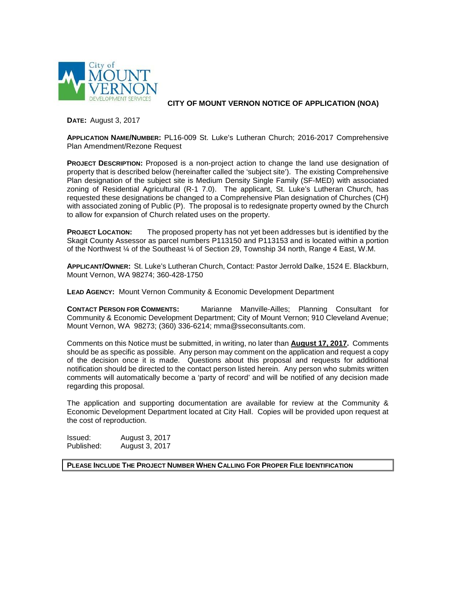

**CITY OF MOUNT VERNON NOTICE OF APPLICATION (NOA)**

**DATE:** August 3, 2017

**APPLICATION NAME/NUMBER:** PL16-009 St. Luke's Lutheran Church; 2016-2017 Comprehensive Plan Amendment/Rezone Request

**PROJECT DESCRIPTION:** Proposed is a non-project action to change the land use designation of property that is described below (hereinafter called the 'subject site'). The existing Comprehensive Plan designation of the subject site is Medium Density Single Family (SF-MED) with associated zoning of Residential Agricultural (R-1 7.0). The applicant, St. Luke's Lutheran Church, has requested these designations be changed to a Comprehensive Plan designation of Churches (CH) with associated zoning of Public (P). The proposal is to redesignate property owned by the Church to allow for expansion of Church related uses on the property.

**PROJECT LOCATION:** The proposed property has not yet been addresses but is identified by the Skagit County Assessor as parcel numbers P113150 and P113153 and is located within a portion of the Northwest ¼ of the Southeast ¼ of Section 29, Township 34 north, Range 4 East, W.M.

**APPLICANT/OWNER:** St. Luke's Lutheran Church, Contact: Pastor Jerrold Dalke, 1524 E. Blackburn, Mount Vernon, WA 98274; 360-428-1750

**LEAD AGENCY:** Mount Vernon Community & Economic Development Department

**CONTACT PERSON FOR COMMENTS:** Marianne Manville-Ailles; Planning Consultant for Community & Economic Development Department; City of Mount Vernon; 910 Cleveland Avenue; Mount Vernon, WA 98273; (360) 336-6214; mma@sseconsultants.com.

Comments on this Notice must be submitted, in writing, no later than **August 17, 2017.** Comments should be as specific as possible. Any person may comment on the application and request a copy of the decision once it is made. Questions about this proposal and requests for additional notification should be directed to the contact person listed herein. Any person who submits written comments will automatically become a 'party of record' and will be notified of any decision made regarding this proposal.

The application and supporting documentation are available for review at the Community & Economic Development Department located at City Hall. Copies will be provided upon request at the cost of reproduction.

**Issued:** August 3, 2017<br>Published: August 3, 2017 August 3, 2017

**PLEASE INCLUDE THE PROJECT NUMBER WHEN CALLING FOR PROPER FILE IDENTIFICATION**